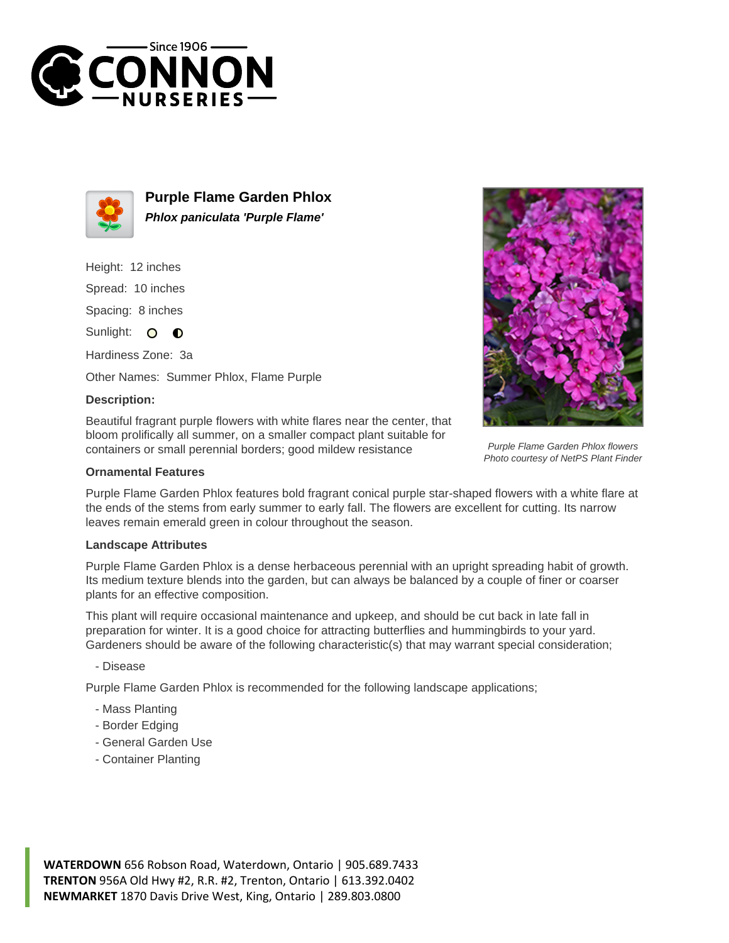



**Purple Flame Garden Phlox Phlox paniculata 'Purple Flame'**

Height: 12 inches

Spread: 10 inches

Spacing: 8 inches

Sunlight: O **O** 

Hardiness Zone: 3a

Other Names: Summer Phlox, Flame Purple

## **Description:**

Beautiful fragrant purple flowers with white flares near the center, that bloom prolifically all summer, on a smaller compact plant suitable for containers or small perennial borders; good mildew resistance



Purple Flame Garden Phlox features bold fragrant conical purple star-shaped flowers with a white flare at the ends of the stems from early summer to early fall. The flowers are excellent for cutting. Its narrow leaves remain emerald green in colour throughout the season.

## **Landscape Attributes**

Purple Flame Garden Phlox is a dense herbaceous perennial with an upright spreading habit of growth. Its medium texture blends into the garden, but can always be balanced by a couple of finer or coarser plants for an effective composition.

This plant will require occasional maintenance and upkeep, and should be cut back in late fall in preparation for winter. It is a good choice for attracting butterflies and hummingbirds to your yard. Gardeners should be aware of the following characteristic(s) that may warrant special consideration;

- Disease

Purple Flame Garden Phlox is recommended for the following landscape applications;

- Mass Planting
- Border Edging
- General Garden Use
- Container Planting

**WATERDOWN** 656 Robson Road, Waterdown, Ontario | 905.689.7433 **TRENTON** 956A Old Hwy #2, R.R. #2, Trenton, Ontario | 613.392.0402 **NEWMARKET** 1870 Davis Drive West, King, Ontario | 289.803.0800



Purple Flame Garden Phlox flowers Photo courtesy of NetPS Plant Finder